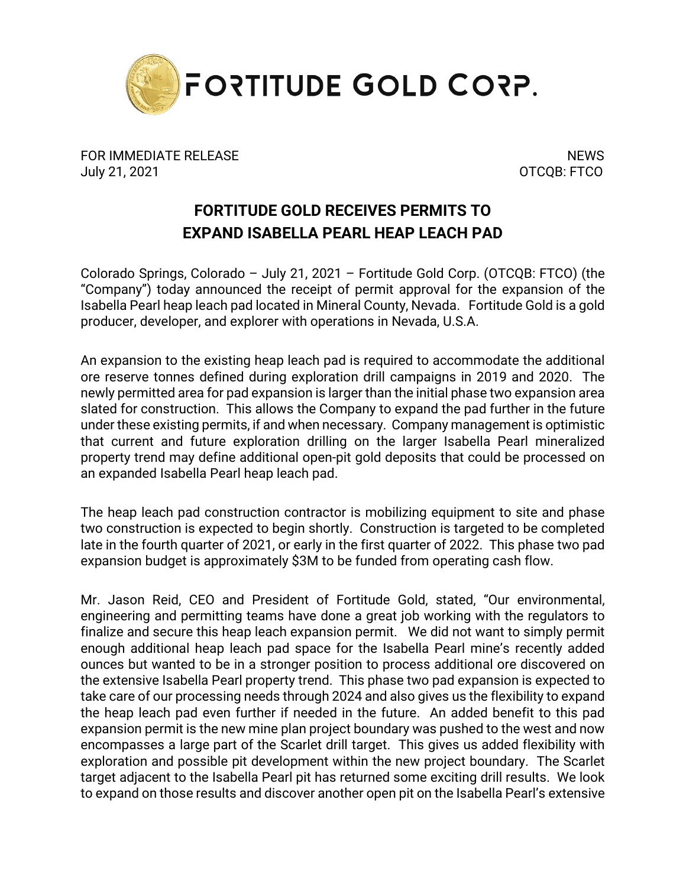

FOR IMMEDIATE RELEASE NEWS SERVICE AND THE MEMORY OF STATE AND THE MEMORY SERVICE AND THE MEMORY OF STATE AND THE MEMORY OF STATE AND THE MEMORY OF STATE AND THE MEMORY OF STATE AND THE MEMORY OF STATE AND THE MEMORY OF ST July 21, 2021 OTCQB: FTCO

## **FORTITUDE GOLD RECEIVES PERMITS TO EXPAND ISABELLA PEARL HEAP LEACH PAD**

Colorado Springs, Colorado – July 21, 2021 – Fortitude Gold Corp. (OTCQB: FTCO) (the "Company") today announced the receipt of permit approval for the expansion of the Isabella Pearl heap leach pad located in Mineral County, Nevada. Fortitude Gold is a gold producer, developer, and explorer with operations in Nevada, U.S.A.

An expansion to the existing heap leach pad is required to accommodate the additional ore reserve tonnes defined during exploration drill campaigns in 2019 and 2020. The newly permitted area for pad expansion is larger than the initial phase two expansion area slated for construction. This allows the Company to expand the pad further in the future under these existing permits, if and when necessary. Company management is optimistic that current and future exploration drilling on the larger Isabella Pearl mineralized property trend may define additional open-pit gold deposits that could be processed on an expanded Isabella Pearl heap leach pad.

The heap leach pad construction contractor is mobilizing equipment to site and phase two construction is expected to begin shortly. Construction is targeted to be completed late in the fourth quarter of 2021, or early in the first quarter of 2022. This phase two pad expansion budget is approximately \$3M to be funded from operating cash flow.

Mr. Jason Reid, CEO and President of Fortitude Gold, stated, "Our environmental, engineering and permitting teams have done a great job working with the regulators to finalize and secure this heap leach expansion permit. We did not want to simply permit enough additional heap leach pad space for the Isabella Pearl mine's recently added ounces but wanted to be in a stronger position to process additional ore discovered on the extensive Isabella Pearl property trend. This phase two pad expansion is expected to take care of our processing needs through 2024 and also gives us the flexibility to expand the heap leach pad even further if needed in the future. An added benefit to this pad expansion permit is the new mine plan project boundary was pushed to the west and now encompasses a large part of the Scarlet drill target. This gives us added flexibility with exploration and possible pit development within the new project boundary. The Scarlet target adjacent to the Isabella Pearl pit has returned some exciting drill results. We look to expand on those results and discover another open pit on the Isabella Pearl's extensive